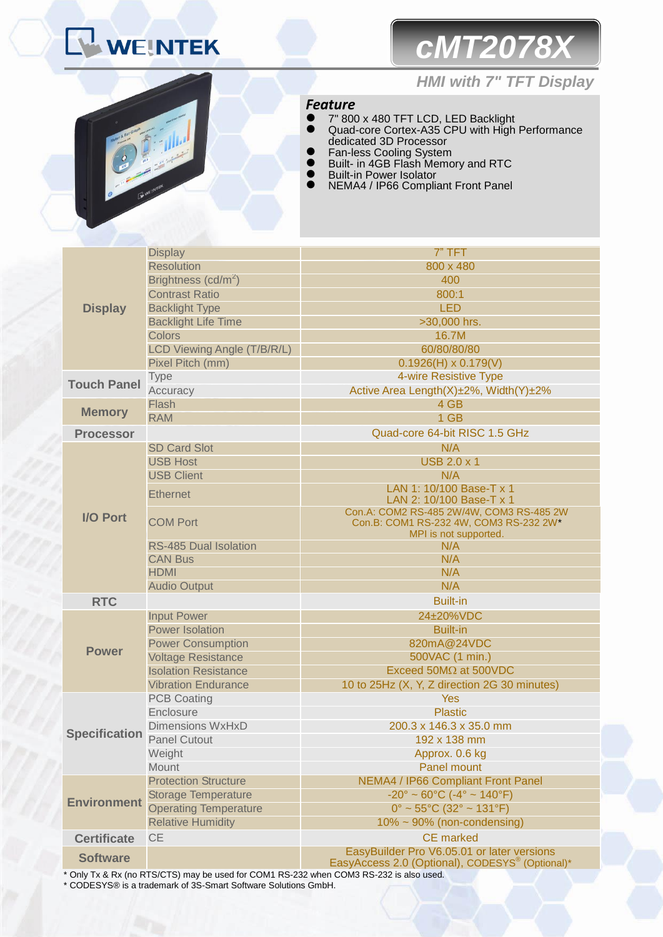# *cMT2078X*



## *HMI with 7" TFT Display*

## *Feature*

- 7" 800 x 480 TFT LCD, LED Backlight Quad-core Cortex-A35 CPU with High Performance dedicated 3D Processor
- **•** Fan-less Cooling System
- **Built- in 4GB Flash Memory and RTC**
- **•** Built-in Power Isolator
- NEMA4 / IP66 Compliant Front Panel

|                      | <b>Display</b>                  | 7" TFT                                                                                                      |  |
|----------------------|---------------------------------|-------------------------------------------------------------------------------------------------------------|--|
|                      | <b>Resolution</b>               | 800 x 480                                                                                                   |  |
|                      | Brightness (cd/m <sup>2</sup> ) | 400                                                                                                         |  |
|                      | <b>Contrast Ratio</b>           | 800:1                                                                                                       |  |
| <b>Display</b>       | <b>Backlight Type</b>           | <b>LED</b>                                                                                                  |  |
|                      | <b>Backlight Life Time</b>      | >30,000 hrs.                                                                                                |  |
|                      | <b>Colors</b>                   | 16.7M                                                                                                       |  |
|                      | LCD Viewing Angle (T/B/R/L)     | 60/80/80/80                                                                                                 |  |
|                      | Pixel Pitch (mm)                | $0.1926(H) \times 0.179(V)$                                                                                 |  |
| <b>Touch Panel</b>   | <b>Type</b>                     | 4-wire Resistive Type                                                                                       |  |
|                      | Accuracy                        | Active Area Length(X)±2%, Width(Y)±2%                                                                       |  |
| <b>Memory</b>        | Flash                           | 4 GB                                                                                                        |  |
|                      | <b>RAM</b>                      | 1 GB                                                                                                        |  |
| <b>Processor</b>     |                                 | Quad-core 64-bit RISC 1.5 GHz                                                                               |  |
|                      | <b>SD Card Slot</b>             | N/A                                                                                                         |  |
|                      | <b>USB Host</b>                 | <b>USB 2.0 x 1</b>                                                                                          |  |
|                      | <b>USB Client</b>               | N/A                                                                                                         |  |
| I/O Port             | <b>Ethernet</b>                 | LAN 1: 10/100 Base-T x 1<br>LAN 2: 10/100 Base-T x 1                                                        |  |
|                      | <b>COM Port</b>                 | Con.A: COM2 RS-485 2W/4W, COM3 RS-485 2W<br>Con.B: COM1 RS-232 4W, COM3 RS-232 2W*<br>MPI is not supported. |  |
|                      | <b>RS-485 Dual Isolation</b>    | N/A                                                                                                         |  |
|                      | <b>CAN Bus</b>                  | N/A                                                                                                         |  |
|                      | <b>HDMI</b>                     | N/A                                                                                                         |  |
|                      | <b>Audio Output</b>             | N/A                                                                                                         |  |
| <b>RTC</b>           |                                 | <b>Built-in</b>                                                                                             |  |
|                      | <b>Input Power</b>              | 24±20%VDC                                                                                                   |  |
|                      | <b>Power Isolation</b>          | <b>Built-in</b>                                                                                             |  |
| <b>Power</b>         | <b>Power Consumption</b>        | 820mA@24VDC                                                                                                 |  |
|                      | <b>Voltage Resistance</b>       | 500VAC (1 min.)                                                                                             |  |
|                      | <b>Isolation Resistance</b>     | Exceed $50M\Omega$ at $500VDC$                                                                              |  |
|                      | <b>Vibration Endurance</b>      | 10 to 25Hz (X, Y, Z direction 2G 30 minutes)                                                                |  |
|                      | <b>PCB Coating</b>              | <b>Yes</b>                                                                                                  |  |
|                      | Enclosure                       | <b>Plastic</b>                                                                                              |  |
|                      | <b>Dimensions WxHxD</b>         | 200.3 x 146.3 x 35.0 mm                                                                                     |  |
| <b>Specification</b> | <b>Panel Cutout</b>             | $192 \times 138$ mm                                                                                         |  |
|                      | Weight                          | Approx. 0.6 kg                                                                                              |  |
|                      | Mount                           | Panel mount                                                                                                 |  |
| <b>Environment</b>   | <b>Protection Structure</b>     | <b>NEMA4 / IP66 Compliant Front Panel</b>                                                                   |  |
|                      | <b>Storage Temperature</b>      | $-20^{\circ} \sim 60^{\circ}$ C ( $-4^{\circ} \sim 140^{\circ}$ F)                                          |  |
|                      | <b>Operating Temperature</b>    | $0^{\circ}$ ~ 55°C (32° ~ 131°F)                                                                            |  |
|                      | <b>Relative Humidity</b>        | 10% ~ 90% (non-condensing)                                                                                  |  |
| <b>Certificate</b>   | <b>CE</b>                       | <b>CE</b> marked                                                                                            |  |
| <b>Software</b>      |                                 | EasyBuilder Pro V6.05.01 or later versions<br>EasyAccess 2.0 (Optional), CODESYS <sup>®</sup> (Optional)*   |  |
|                      |                                 |                                                                                                             |  |

\* Only Tx & Rx (no RTS/CTS) may be used for COM1 RS-232 when COM3 RS-232 is also used.

\* CODESYS® is a trademark of 3S-Smart Software Solutions GmbH.